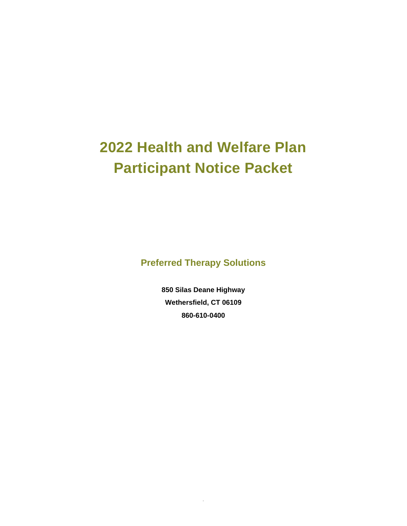# **2022 Health and Welfare Plan Participant Notice Packet**

**Preferred Therapy Solutions**

**850 Silas Deane Highway Wethersfield, CT 06109 860-610-0400**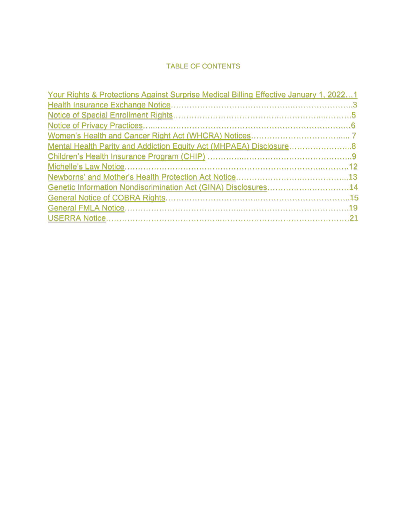#### TABLE OF CONTENTS

| Your Rights & Protections Against Surprise Medical Billing Effective January 1, 20221 |  |
|---------------------------------------------------------------------------------------|--|
|                                                                                       |  |
|                                                                                       |  |
|                                                                                       |  |
|                                                                                       |  |
|                                                                                       |  |
|                                                                                       |  |
|                                                                                       |  |
|                                                                                       |  |
|                                                                                       |  |
|                                                                                       |  |
|                                                                                       |  |
|                                                                                       |  |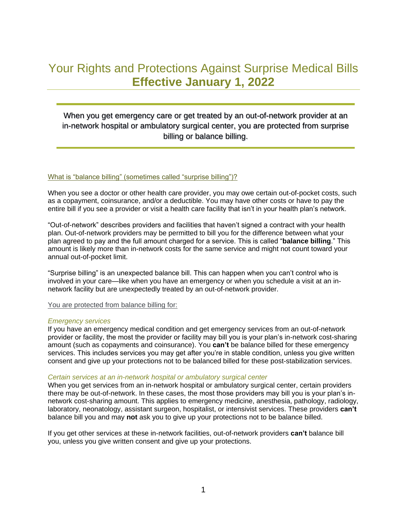## Your Rights and Protections Against Surprise Medical Bills **Effective January 1, 2022**

#### When you get emergency care or get treated by an out-of-network provider at an in-network hospital or ambulatory surgical center, you are protected from surprise billing or balance billing.

#### What is "balance billing" (sometimes called "surprise billing")?

When you see a doctor or other health care provider, you may owe certain out-of-pocket costs, such as a copayment, coinsurance, and/or a deductible. You may have other costs or have to pay the entire bill if you see a provider or visit a health care facility that isn't in your health plan's network.

"Out-of-network" describes providers and facilities that haven't signed a contract with your health plan. Out-of-network providers may be permitted to bill you for the difference between what your plan agreed to pay and the full amount charged for a service. This is called "**balance billing**." This amount is likely more than in-network costs for the same service and might not count toward your annual out-of-pocket limit.

"Surprise billing" is an unexpected balance bill. This can happen when you can't control who is involved in your care—like when you have an emergency or when you schedule a visit at an innetwork facility but are unexpectedly treated by an out-of-network provider.

You are protected from balance billing for:

#### *Emergency services*

If you have an emergency medical condition and get emergency services from an out-of-network provider or facility, the most the provider or facility may bill you is your plan's in-network cost-sharing amount (such as copayments and coinsurance). You **can't** be balance billed for these emergency services. This includes services you may get after you're in stable condition, unless you give written consent and give up your protections not to be balanced billed for these post-stabilization services.

#### *Certain services at an in-network hospital or ambulatory surgical center*

When you get services from an in-network hospital or ambulatory surgical center, certain providers there may be out-of-network. In these cases, the most those providers may bill you is your plan's innetwork cost-sharing amount. This applies to emergency medicine, anesthesia, pathology, radiology, laboratory, neonatology, assistant surgeon, hospitalist, or intensivist services. These providers **can't**  balance bill you and may **not** ask you to give up your protections not to be balance billed.

If you get other services at these in-network facilities, out-of-network providers **can't** balance bill you, unless you give written consent and give up your protections.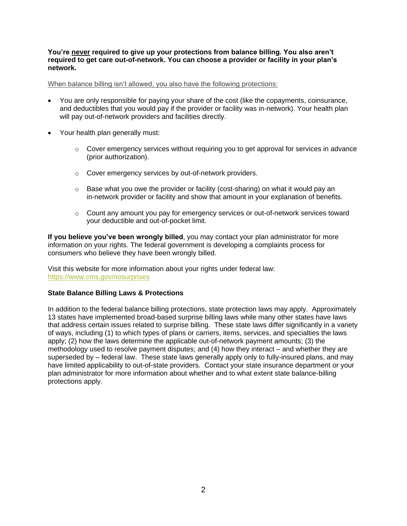**You're never required to give up your protections from balance billing. You also aren't required to get care out-of-network. You can choose a provider or facility in your plan's network.**

When balance billing isn't allowed, you also have the following protections:

- You are only responsible for paying your share of the cost (like the copayments, coinsurance, and deductibles that you would pay if the provider or facility was in-network). Your health plan will pay out-of-network providers and facilities directly.
- Your health plan generally must:
	- $\circ$  Cover emergency services without requiring you to get approval for services in advance (prior authorization).
	- o Cover emergency services by out-of-network providers.
	- $\circ$  Base what you owe the provider or facility (cost-sharing) on what it would pay an in-network provider or facility and show that amount in your explanation of benefits.
	- $\circ$  Count any amount you pay for emergency services or out-of-network services toward your deductible and out-of-pocket limit.

**If you believe you've been wrongly billed**, you may contact your plan administrator for more information on your rights. The federal government is developing a complaints process for consumers who believe they have been wrongly billed.

Visit this website for more information about your rights under federal law: <https://www.cms.gov/nosurprises>

#### **State Balance Billing Laws & Protections**

In addition to the federal balance billing protections, state protection laws may apply. Approximately 13 states have implemented broad-based surprise billing laws while many other states have laws that address certain issues related to surprise billing. These state laws differ significantly in a variety of ways, including (1) to which types of plans or carriers, items, services, and specialties the laws apply; (2) how the laws determine the applicable out-of-network payment amounts; (3) the methodology used to resolve payment disputes; and (4) how they interact – and whether they are superseded by – federal law. These state laws generally apply only to fully-insured plans, and may have limited applicability to out-of-state providers. Contact your state insurance department or your plan administrator for more information about whether and to what extent state balance-billing protections apply.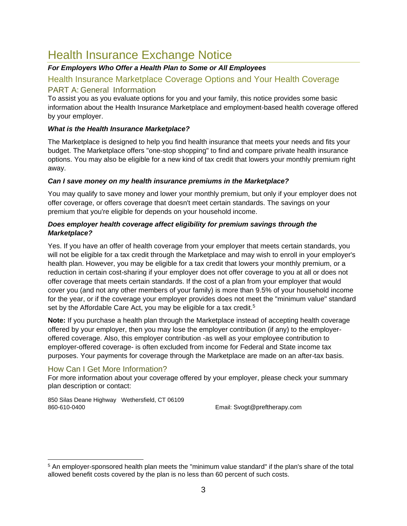# Health Insurance Exchange Notice

#### *For Employers Who Offer a Health Plan to Some or All Employees*

### Health Insurance Marketplace Coverage Options and Your Health Coverage PART A: General Information

To assist you as you evaluate options for you and your family, this notice provides some basic information about the Health Insurance Marketplace and employment-based health coverage offered by your employer.

#### *What is the Health Insurance Marketplace?*

The Marketplace is designed to help you find health insurance that meets your needs and fits your budget. The Marketplace offers "one-stop shopping" to find and compare private health insurance options. You may also be eligible for a new kind of tax credit that lowers your monthly premium right away.

#### *Can I save money on my health insurance premiums in the Marketplace?*

You may qualify to save money and lower your monthly premium, but only if your employer does not offer coverage, or offers coverage that doesn't meet certain standards. The savings on your premium that you're eligible for depends on your household income.

#### *Does employer health coverage affect eligibility for premium savings through the Marketplace?*

Yes. If you have an offer of health coverage from your employer that meets certain standards, you will not be eligible for a tax credit through the Marketplace and may wish to enroll in your employer's health plan. However, you may be eligible for a tax credit that lowers your monthly premium, or a reduction in certain cost-sharing if your employer does not offer coverage to you at all or does not offer coverage that meets certain standards. If the cost of a plan from your employer that would cover you (and not any other members of your family) is more than 9.5% of your household income for the year, or if the coverage your employer provides does not meet the "minimum value" standard set by the Affordable Care Act, you may be eligible for a tax credit.<sup>5</sup>

**Note:** If you purchase a health plan through the Marketplace instead of accepting health coverage offered by your employer, then you may lose the employer contribution (if any) to the employeroffered coverage. Also, this employer contribution -as well as your employee contribution to employer-offered coverage- is often excluded from income for Federal and State income tax purposes. Your payments for coverage through the Marketplace are made on an after-tax basis.

#### How Can I Get More Information?

For more information about your coverage offered by your employer, please check your summary plan description or contact:

850 Silas Deane Highway Wethersfield, CT 06109 860-610-0400 Email: Svogt@preftherapy.com

<sup>5</sup> An employer-sponsored health plan meets the "minimum value standard" if the plan's share of the total allowed benefit costs covered by the plan is no less than 60 percent of such costs.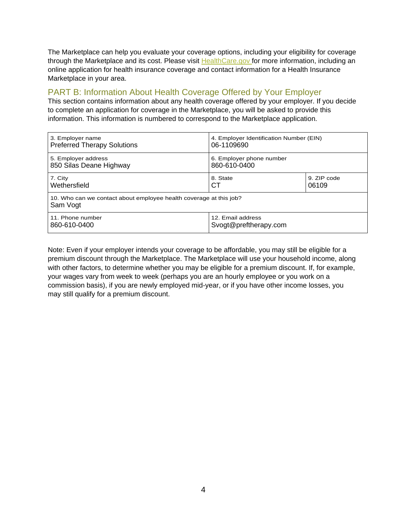The Marketplace can help you evaluate your coverage options, including your eligibility for coverage through the Marketplace and its cost. Please visit [HealthCare.gov f](http://www.healthcare.gov/)or more information, including an online application for health insurance coverage and contact information for a Health Insurance Marketplace in your area.

### PART B: Information About Health Coverage Offered by Your Employer

This section contains information about any health coverage offered by your employer. If you decide to complete an application for coverage in the Marketplace, you will be asked to provide this information. This information is numbered to correspond to the Marketplace application.

| 3. Employer name                                                               | 4. Employer Identification Number (EIN)    |             |  |
|--------------------------------------------------------------------------------|--------------------------------------------|-------------|--|
| <b>Preferred Therapy Solutions</b>                                             | 06-1109690                                 |             |  |
| 5. Employer address                                                            | 6. Employer phone number                   |             |  |
| 850 Silas Deane Highway                                                        | 860-610-0400                               |             |  |
| 7. City                                                                        | 8. State                                   | 9. ZIP code |  |
| Wethersfield                                                                   | <b>CT</b>                                  | 06109       |  |
| 10. Who can we contact about employee health coverage at this job?<br>Sam Vogt |                                            |             |  |
| 11. Phone number<br>860-610-0400                                               | 12. Email address<br>Svogt@preftherapy.com |             |  |

Note: Even if your employer intends your coverage to be affordable, you may still be eligible for a premium discount through the Marketplace. The Marketplace will use your household income, along with other factors, to determine whether you may be eligible for a premium discount. If, for example, your wages vary from week to week (perhaps you are an hourly employee or you work on a commission basis), if you are newly employed mid-year, or if you have other income losses, you may still qualify for a premium discount.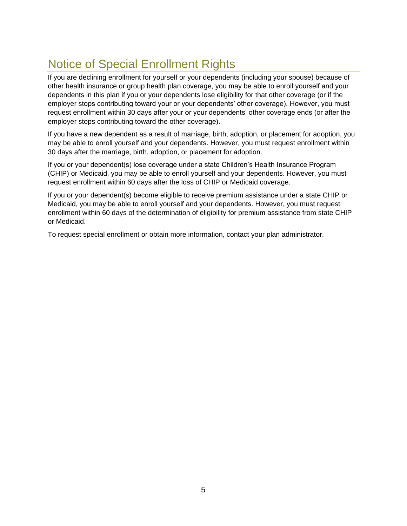# Notice of Special Enrollment Rights

If you are declining enrollment for yourself or your dependents (including your spouse) because of other health insurance or group health plan coverage, you may be able to enroll yourself and your dependents in this plan if you or your dependents lose eligibility for that other coverage (or if the employer stops contributing toward your or your dependents' other coverage). However, you must request enrollment within 30 days after your or your dependents' other coverage ends (or after the employer stops contributing toward the other coverage).

If you have a new dependent as a result of marriage, birth, adoption, or placement for adoption, you may be able to enroll yourself and your dependents. However, you must request enrollment within 30 days after the marriage, birth, adoption, or placement for adoption.

If you or your dependent(s) lose coverage under a state Children's Health Insurance Program (CHIP) or Medicaid, you may be able to enroll yourself and your dependents. However, you must request enrollment within 60 days after the loss of CHIP or Medicaid coverage.

If you or your dependent(s) become eligible to receive premium assistance under a state CHIP or Medicaid, you may be able to enroll yourself and your dependents. However, you must request enrollment within 60 days of the determination of eligibility for premium assistance from state CHIP or Medicaid.

To request special enrollment or obtain more information, contact your plan administrator.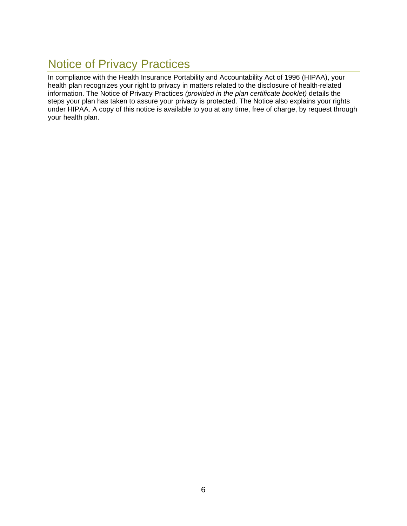# Notice of Privacy Practices

In compliance with the Health Insurance Portability and Accountability Act of 1996 (HIPAA), your health plan recognizes your right to privacy in matters related to the disclosure of health-related information. The Notice of Privacy Practices *(provided in the plan certificate booklet)* details the steps your plan has taken to assure your privacy is protected. The Notice also explains your rights under HIPAA. A copy of this notice is available to you at any time, free of charge, by request through your health plan.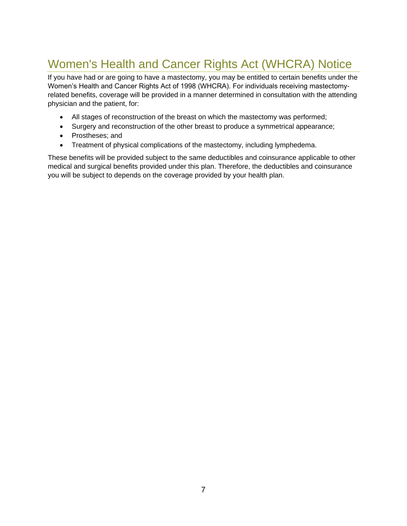# Women's Health and Cancer Rights Act (WHCRA) Notice

If you have had or are going to have a mastectomy, you may be entitled to certain benefits under the Women's Health and Cancer Rights Act of 1998 (WHCRA). For individuals receiving mastectomyrelated benefits, coverage will be provided in a manner determined in consultation with the attending physician and the patient, for:

- All stages of reconstruction of the breast on which the mastectomy was performed;
- Surgery and reconstruction of the other breast to produce a symmetrical appearance;
- Prostheses; and
- Treatment of physical complications of the mastectomy, including lymphedema.

These benefits will be provided subject to the same deductibles and coinsurance applicable to other medical and surgical benefits provided under this plan. Therefore, the deductibles and coinsurance you will be subject to depends on the coverage provided by your health plan.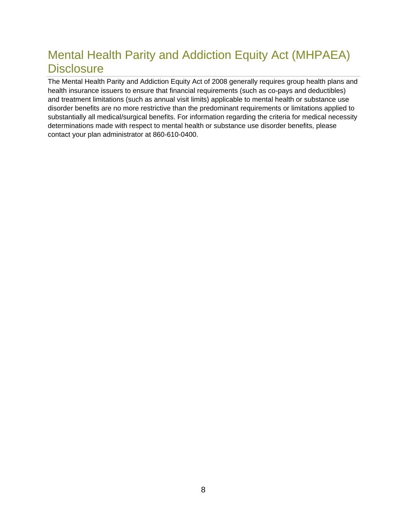# Mental Health Parity and Addiction Equity Act (MHPAEA) **Disclosure**

The Mental Health Parity and Addiction Equity Act of 2008 generally requires group health plans and health insurance issuers to ensure that financial requirements (such as co-pays and deductibles) and treatment limitations (such as annual visit limits) applicable to mental health or substance use disorder benefits are no more restrictive than the predominant requirements or limitations applied to substantially all medical/surgical benefits. For information regarding the criteria for medical necessity determinations made with respect to mental health or substance use disorder benefits, please contact your plan administrator at 860-610-0400.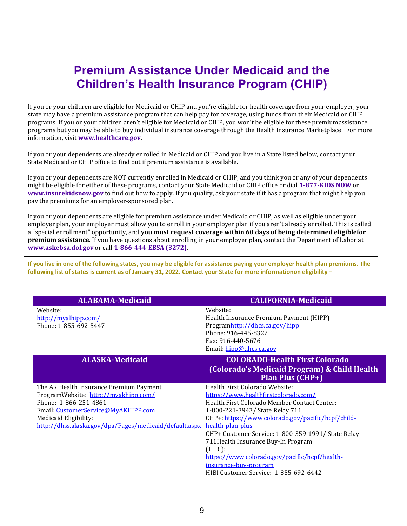# **Premium Assistance Under Medicaid and the Children's Health Insurance Program (CHIP)**

If you or your children are eligible for Medicaid or CHIP and you're eligible for health coverage from your employer, your state may have a premium assistance program that can help pay for coverage, using funds from their Medicaid or CHIP programs. If you or your children aren't eligible for Medicaid or CHIP, you won't be eligible for these premiumassistance programs but you may be able to buy individual insurance coverage through the Health Insurance Marketplace. For more information, visit **[www.healthcare.gov](http://www.healthcare.gov/)**.

If you or your dependents are already enrolled in Medicaid or CHIP and you live in a State listed below, contact your State Medicaid or CHIP office to find out if premium assistance is available.

If you or your dependents are NOT currently enrolled in Medicaid or CHIP, and you think you or any of your dependents might be eligible for either of these programs, contact your State Medicaid or CHIP office or dial **1-877-KIDS NOW** or **[www.insurekidsnow.gov](http://www.insurekidsnow.gov/)** to find out how to apply. If you qualify, ask your state if it has a program that might help you pay the premiums for an employer-sponsored plan.

If you or your dependents are eligible for premium assistance under Medicaid or CHIP, as well as eligible under your employer plan, your employer must allow you to enroll in your employer plan if you aren't already enrolled. This is called a "special enrollment" opportunity, and **you must request coverage within 60 days of being determined eligiblefor premium assistance**. If you have questions about enrolling in your employer plan, contact the Department of Labor at **[www.askebsa.dol.gov](http://www.askebsa.dol.gov/)** or call **1-866-444-EBSA (3272)**.

**If you live in one of the following states, you may be eligible for assistance paying your employer health plan premiums. The following list of states is current as of January 31, 2022. Contact your State for more informationon eligibility –**

| <b>ALABAMA-Medicaid</b>                                                                                                                                                                                                            | <b>CALIFORNIA-Medicaid</b>                                                                                                                                                                                                                                                                                                                                                                                                                                     |
|------------------------------------------------------------------------------------------------------------------------------------------------------------------------------------------------------------------------------------|----------------------------------------------------------------------------------------------------------------------------------------------------------------------------------------------------------------------------------------------------------------------------------------------------------------------------------------------------------------------------------------------------------------------------------------------------------------|
| Website:<br>http://myalhipp.com/<br>Phone: 1-855-692-5447                                                                                                                                                                          | Website:<br>Health Insurance Premium Payment (HIPP)<br>Programhttp://dhcs.ca.gov/hipp<br>Phone: 916-445-8322<br>Fax: 916-440-5676<br>Email: hipp@dhcs.ca.gov                                                                                                                                                                                                                                                                                                   |
| <b>ALASKA-Medicaid</b>                                                                                                                                                                                                             | <b>COLORADO-Health First Colorado</b><br>(Colorado's Medicaid Program) & Child Health<br><b>Plan Plus (CHP+)</b>                                                                                                                                                                                                                                                                                                                                               |
| The AK Health Insurance Premium Payment<br>ProgramWebsite: http://myakhipp.com/<br>Phone: 1-866-251-4861<br>Email: CustomerService@MyAKHIPP.com<br>Medicaid Eligibility:<br>http://dhss.alaska.gov/dpa/Pages/medicaid/default.aspx | Health First Colorado Website:<br>https://www.healthfirstcolorado.com/<br>Health First Colorado Member Contact Center:<br>1-800-221-3943/ State Relay 711<br>CHP+: https://www.colorado.gov/pacific/hcpf/child-<br>health-plan-plus<br>CHP+ Customer Service: 1-800-359-1991/ State Relay<br>711 Health Insurance Buy-In Program<br>(HIBI):<br>https://www.colorado.gov/pacific/hcpf/health-<br>insurance-buy-program<br>HIBI Customer Service: 1-855-692-6442 |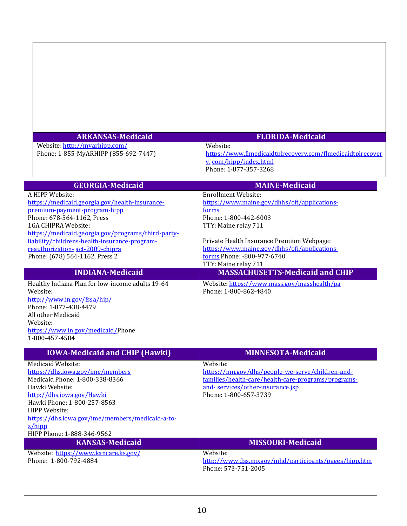| <b>ARKANSAS-Medicaid</b>                                                                                                                                                                                                                                                                                                            | <b>FLORIDA-Medicaid</b>                                                                                                                                                                                                                                                                  |
|-------------------------------------------------------------------------------------------------------------------------------------------------------------------------------------------------------------------------------------------------------------------------------------------------------------------------------------|------------------------------------------------------------------------------------------------------------------------------------------------------------------------------------------------------------------------------------------------------------------------------------------|
| Website: http://myarhipp.com/<br>Phone: 1-855-MyARHIPP (855-692-7447)                                                                                                                                                                                                                                                               | Website:<br>https://www.flmedicaidtplrecovery.com/flmedicaidtplrecover<br>y. com/hipp/index.html<br>Phone: 1-877-357-3268                                                                                                                                                                |
| <b>GEORGIA-Medicaid</b>                                                                                                                                                                                                                                                                                                             | <b>MAINE-Medicaid</b>                                                                                                                                                                                                                                                                    |
| A HIPP Website:<br>https://medicaid.georgia.gov/health-insurance-<br>premium-payment-program-hipp<br>Phone: 678-564-1162, Press<br>1GA CHIPRA Website:<br>https://medicaid.georgia.gov/programs/third-party-<br>liability/childrens-health-insurance-program-<br>reauthorization- act-2009-chipra<br>Phone: (678) 564-1162, Press 2 | <b>Enrollment Website:</b><br>https://www.maine.gov/dhhs/ofi/applications-<br>forms<br>Phone: 1-800-442-6003<br>TTY: Maine relay 711<br>Private Health Insurance Premium Webpage:<br>https://www.maine.gov/dhhs/ofi/applications-<br>forms Phone: -800-977-6740.<br>TTY: Maine relay 711 |
|                                                                                                                                                                                                                                                                                                                                     |                                                                                                                                                                                                                                                                                          |
|                                                                                                                                                                                                                                                                                                                                     |                                                                                                                                                                                                                                                                                          |
| <b>INDIANA-Medicaid</b><br>Healthy Indiana Plan for low-income adults 19-64<br>Website:<br>http://www.in.gov/fssa/hip/<br>Phone: 1-877-438-4479<br>All other Medicaid<br>Website:<br>https://www.in.gov/medicaid/Phone<br>1-800-457-4584                                                                                            | <b>MASSACHUSETTS-Medicaid and CHIP</b><br>Website: https://www.mass.gov/masshealth/pa<br>Phone: 1-800-862-4840                                                                                                                                                                           |
| <b>IOWA-Medicaid and CHIP (Hawki)</b>                                                                                                                                                                                                                                                                                               | <b>MINNESOTA-Medicaid</b>                                                                                                                                                                                                                                                                |
| Medicaid Website:<br>https://dhs.iowa.gov/ime/members<br>Medicaid Phone: 1-800-338-8366<br>Hawki Website:<br>http://dhs.iowa.gov/Hawki<br>Hawki Phone: 1-800-257-8563<br>HIPP Website:<br>https://dhs.iowa.gov/ime/members/medicaid-a-to-<br>z/hipp                                                                                 | Website:<br>https://mn.gov/dhs/people-we-serve/children-and-<br>families/health-care/health-care-programs/programs-<br>and-services/other-insurance.jsp<br>Phone: 1-800-657-3739                                                                                                         |
| HIPP Phone: 1-888-346-9562<br><b>KANSAS-Medicaid</b>                                                                                                                                                                                                                                                                                | <b>MISSOURI-Medicaid</b>                                                                                                                                                                                                                                                                 |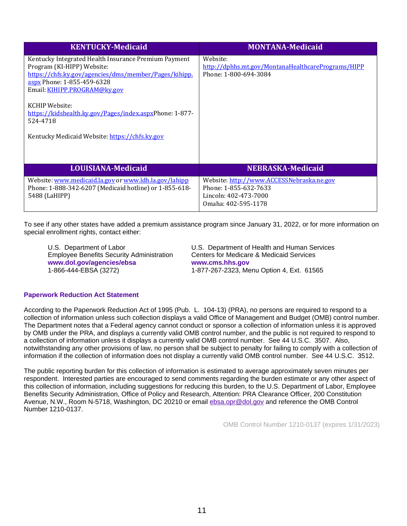| <b>KENTUCKY-Medicaid</b>                                                                                                                                                                                                                                                                                                                                    | <b>MONTANA-Medicaid</b>                                                                                            |
|-------------------------------------------------------------------------------------------------------------------------------------------------------------------------------------------------------------------------------------------------------------------------------------------------------------------------------------------------------------|--------------------------------------------------------------------------------------------------------------------|
| Kentucky Integrated Health Insurance Premium Payment<br>Program (KI-HIPP) Website:<br>https://chfs.ky.gov/agencies/dms/member/Pages/kihipp.<br>aspx Phone: 1-855-459-6328<br>Email: KIHIPP.PROGRAM@ky.gov<br><b>KCHIP</b> Website:<br>https://kidshealth.ky.gov/Pages/index.aspxPhone: 1-877-<br>524-4718<br>Kentucky Medicaid Website: https://chfs.ky.gov | Website:<br>http://dphhs.mt.gov/MontanaHealthcarePrograms/HIPP<br>Phone: 1-800-694-3084                            |
|                                                                                                                                                                                                                                                                                                                                                             |                                                                                                                    |
| <b>LOUISIANA-Medicaid</b>                                                                                                                                                                                                                                                                                                                                   | <b>NEBRASKA-Medicaid</b>                                                                                           |
| <u> Website: www.medicaid.la.gov</u> or <u>www.ldh.la.gov/lahipp</u><br>Phone: 1-888-342-6207 (Medicaid hotline) or 1-855-618-<br>5488 (LaHIPP)                                                                                                                                                                                                             | Website: http://www.ACCESSNebraska.ne.gov<br>Phone: 1-855-632-7633<br>Lincoln: 402-473-7000<br>Omaha: 402-595-1178 |

To see if any other states have added a premium assistance program since January 31, 2022, or for more information on special enrollment rights, contact either:

Employee Benefits Security Administration Centers for Medicare & Medicaid Services **[www.dol.gov/agencies/ebsa](https://www.dol.gov/agencies/ebsa) [www.cms.hhs.gov](http://www.cms.hhs.gov/)**

U.S. Department of Labor U.S. Department of Health and Human Services 1-866-444-EBSA (3272) 1-877-267-2323, Menu Option 4, Ext. 61565

#### **Paperwork Reduction Act Statement**

According to the Paperwork Reduction Act of 1995 (Pub. L. 104-13) (PRA), no persons are required to respond to a collection of information unless such collection displays a valid Office of Management and Budget (OMB) control number. The Department notes that a Federal agency cannot conduct or sponsor a collection of information unless it is approved by OMB under the PRA, and displays a currently valid OMB control number, and the public is not required to respond to a collection of information unless it displays a currently valid OMB control number. See 44 U.S.C. 3507. Also, notwithstanding any other provisions of law, no person shall be subject to penalty for failing to comply with a collection of information if the collection of information does not display a currently valid OMB control number. See 44 U.S.C. 3512.

The public reporting burden for this collection of information is estimated to average approximately seven minutes per respondent. Interested parties are encouraged to send comments regarding the burden estimate or any other aspect of this collection of information, including suggestions for reducing this burden, to the U.S. Department of Labor, Employee Benefits Security Administration, Office of Policy and Research, Attention: PRA Clearance Officer, 200 Constitution Avenue, N.W., Room N-5718, Washington, DC 20210 or email [ebsa.opr@dol.gov](mailto:ebsa.opr@dol.gov) and reference the OMB Control Number 1210-0137.

OMB Control Number 1210-0137 (expires 1/31/2023)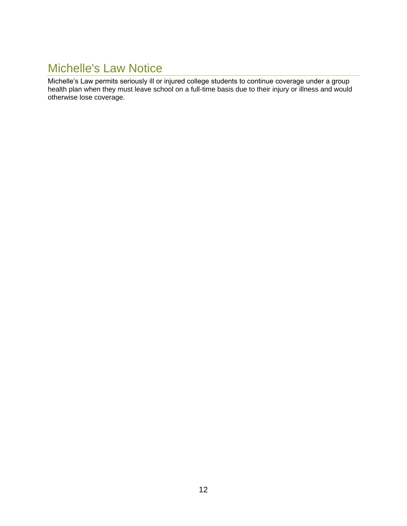# Michelle's Law Notice

Michelle's Law permits seriously ill or injured college students to continue coverage under a group health plan when they must leave school on a full-time basis due to their injury or illness and would otherwise lose coverage.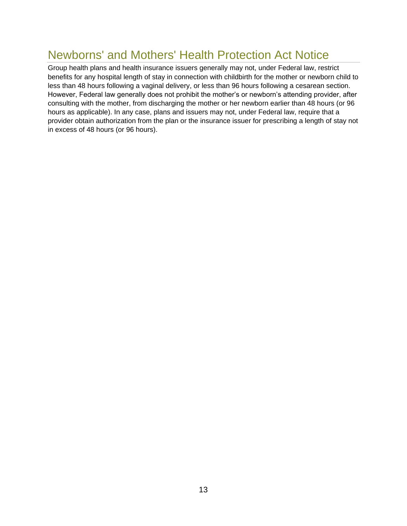# Newborns' and Mothers' Health Protection Act Notice

Group health plans and health insurance issuers generally may not, under Federal law, restrict benefits for any hospital length of stay in connection with childbirth for the mother or newborn child to less than 48 hours following a vaginal delivery, or less than 96 hours following a cesarean section. However, Federal law generally does not prohibit the mother's or newborn's attending provider, after consulting with the mother, from discharging the mother or her newborn earlier than 48 hours (or 96 hours as applicable). In any case, plans and issuers may not, under Federal law, require that a provider obtain authorization from the plan or the insurance issuer for prescribing a length of stay not in excess of 48 hours (or 96 hours).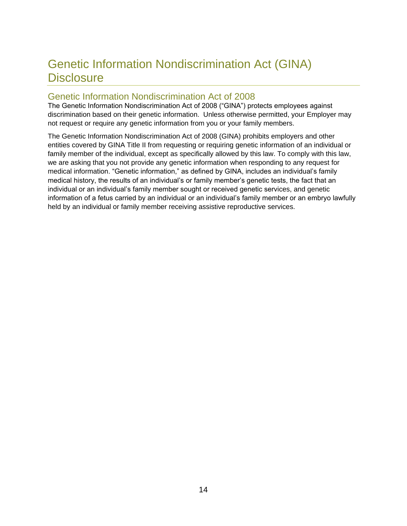# Genetic Information Nondiscrimination Act (GINA) **Disclosure**

### Genetic Information Nondiscrimination Act of 2008

The Genetic Information Nondiscrimination Act of 2008 ("GINA") protects employees against discrimination based on their genetic information. Unless otherwise permitted, your Employer may not request or require any genetic information from you or your family members.

The Genetic Information Nondiscrimination Act of 2008 (GINA) prohibits employers and other entities covered by GINA Title II from requesting or requiring genetic information of an individual or family member of the individual, except as specifically allowed by this law. To comply with this law, we are asking that you not provide any genetic information when responding to any request for medical information. "Genetic information," as defined by GINA, includes an individual's family medical history, the results of an individual's or family member's genetic tests, the fact that an individual or an individual's family member sought or received genetic services, and genetic information of a fetus carried by an individual or an individual's family member or an embryo lawfully held by an individual or family member receiving assistive reproductive services.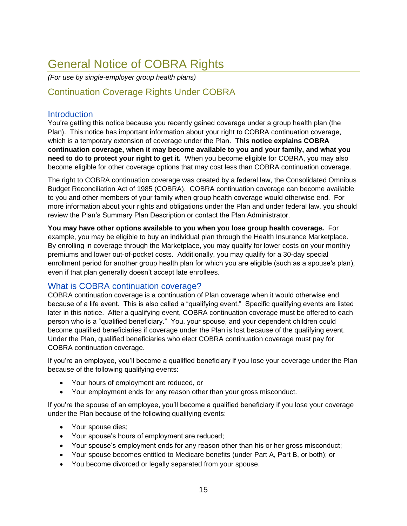# General Notice of COBRA Rights

*(For use by single-employer group health plans)*

## Continuation Coverage Rights Under COBRA

#### **Introduction**

You're getting this notice because you recently gained coverage under a group health plan (the Plan). This notice has important information about your right to COBRA continuation coverage, which is a temporary extension of coverage under the Plan. **This notice explains COBRA continuation coverage, when it may become available to you and your family, and what you need to do to protect your right to get it.** When you become eligible for COBRA, you may also become eligible for other coverage options that may cost less than COBRA continuation coverage.

The right to COBRA continuation coverage was created by a federal law, the Consolidated Omnibus Budget Reconciliation Act of 1985 (COBRA). COBRA continuation coverage can become available to you and other members of your family when group health coverage would otherwise end. For more information about your rights and obligations under the Plan and under federal law, you should review the Plan's Summary Plan Description or contact the Plan Administrator.

**You may have other options available to you when you lose group health coverage.** For example, you may be eligible to buy an individual plan through the Health Insurance Marketplace. By enrolling in coverage through the Marketplace, you may qualify for lower costs on your monthly premiums and lower out-of-pocket costs. Additionally, you may qualify for a 30-day special enrollment period for another group health plan for which you are eligible (such as a spouse's plan), even if that plan generally doesn't accept late enrollees.

#### What is COBRA continuation coverage?

COBRA continuation coverage is a continuation of Plan coverage when it would otherwise end because of a life event. This is also called a "qualifying event." Specific qualifying events are listed later in this notice. After a qualifying event, COBRA continuation coverage must be offered to each person who is a "qualified beneficiary." You, your spouse, and your dependent children could become qualified beneficiaries if coverage under the Plan is lost because of the qualifying event. Under the Plan, qualified beneficiaries who elect COBRA continuation coverage must pay for COBRA continuation coverage.

If you're an employee, you'll become a qualified beneficiary if you lose your coverage under the Plan because of the following qualifying events:

- Your hours of employment are reduced, or
- Your employment ends for any reason other than your gross misconduct.

If you're the spouse of an employee, you'll become a qualified beneficiary if you lose your coverage under the Plan because of the following qualifying events:

- Your spouse dies;
- Your spouse's hours of employment are reduced;
- Your spouse's employment ends for any reason other than his or her gross misconduct;
- Your spouse becomes entitled to Medicare benefits (under Part A, Part B, or both); or
- You become divorced or legally separated from your spouse.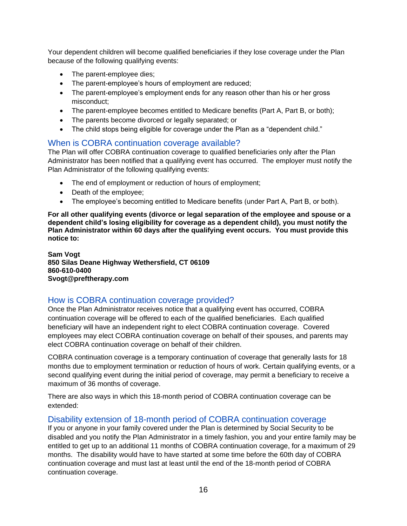Your dependent children will become qualified beneficiaries if they lose coverage under the Plan because of the following qualifying events:

- The parent-employee dies;
- The parent-employee's hours of employment are reduced;
- The parent-employee's employment ends for any reason other than his or her gross misconduct;
- The parent-employee becomes entitled to Medicare benefits (Part A, Part B, or both);
- The parents become divorced or legally separated; or
- The child stops being eligible for coverage under the Plan as a "dependent child."

#### When is COBRA continuation coverage available?

The Plan will offer COBRA continuation coverage to qualified beneficiaries only after the Plan Administrator has been notified that a qualifying event has occurred. The employer must notify the Plan Administrator of the following qualifying events:

- The end of employment or reduction of hours of employment;
- Death of the employee;
- The employee's becoming entitled to Medicare benefits (under Part A, Part B, or both).

**For all other qualifying events (divorce or legal separation of the employee and spouse or a dependent child's losing eligibility for coverage as a dependent child), you must notify the Plan Administrator within 60 days after the qualifying event occurs. You must provide this notice to:** 

**Sam Vogt 850 Silas Deane Highway Wethersfield, CT 06109 860-610-0400 Svogt@preftherapy.com**

#### How is COBRA continuation coverage provided?

Once the Plan Administrator receives notice that a qualifying event has occurred, COBRA continuation coverage will be offered to each of the qualified beneficiaries. Each qualified beneficiary will have an independent right to elect COBRA continuation coverage. Covered employees may elect COBRA continuation coverage on behalf of their spouses, and parents may elect COBRA continuation coverage on behalf of their children.

COBRA continuation coverage is a temporary continuation of coverage that generally lasts for 18 months due to employment termination or reduction of hours of work. Certain qualifying events, or a second qualifying event during the initial period of coverage, may permit a beneficiary to receive a maximum of 36 months of coverage.

There are also ways in which this 18-month period of COBRA continuation coverage can be extended:

#### Disability extension of 18-month period of COBRA continuation coverage

If you or anyone in your family covered under the Plan is determined by Social Security to be disabled and you notify the Plan Administrator in a timely fashion, you and your entire family may be entitled to get up to an additional 11 months of COBRA continuation coverage, for a maximum of 29 months. The disability would have to have started at some time before the 60th day of COBRA continuation coverage and must last at least until the end of the 18-month period of COBRA continuation coverage.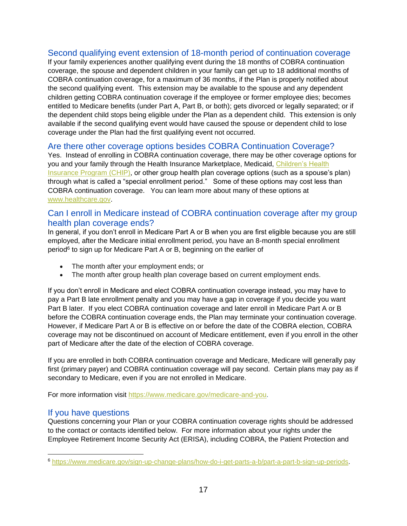### Second qualifying event extension of 18-month period of continuation coverage

If your family experiences another qualifying event during the 18 months of COBRA continuation coverage, the spouse and dependent children in your family can get up to 18 additional months of COBRA continuation coverage, for a maximum of 36 months, if the Plan is properly notified about the second qualifying event. This extension may be available to the spouse and any dependent children getting COBRA continuation coverage if the employee or former employee dies; becomes entitled to Medicare benefits (under Part A, Part B, or both); gets divorced or legally separated; or if the dependent child stops being eligible under the Plan as a dependent child. This extension is only available if the second qualifying event would have caused the spouse or dependent child to lose coverage under the Plan had the first qualifying event not occurred.

#### Are there other coverage options besides COBRA Continuation Coverage?

Yes. Instead of enrolling in COBRA continuation coverage, there may be other coverage options for you and your family through the Health Insurance Marketplace, Medicaid, Children's Health [Insurance Program \(CHIP\),](https://www.healthcare.gov/are-my-children-eligible-for-chip) or other group health plan coverage options (such as a spouse's plan) through what is called a "special enrollment period." Some of these options may cost less than COBRA continuation coverage. You can learn more about many of these options at [www.healthcare.gov.](http://www.healthcare.gov/)

#### Can I enroll in Medicare instead of COBRA continuation coverage after my group health plan coverage ends?

In general, if you don't enroll in Medicare Part A or B when you are first eligible because you are still employed, after the Medicare initial enrollment period, you have an 8-month special enrollment period<sup>6</sup> to sign up for Medicare Part A or B, beginning on the earlier of

- The month after your employment ends; or
- The month after group health plan coverage based on current employment ends.

If you don't enroll in Medicare and elect COBRA continuation coverage instead, you may have to pay a Part B late enrollment penalty and you may have a gap in coverage if you decide you want Part B later. If you elect COBRA continuation coverage and later enroll in Medicare Part A or B before the COBRA continuation coverage ends, the Plan may terminate your continuation coverage. However, if Medicare Part A or B is effective on or before the date of the COBRA election, COBRA coverage may not be discontinued on account of Medicare entitlement, even if you enroll in the other part of Medicare after the date of the election of COBRA coverage.

If you are enrolled in both COBRA continuation coverage and Medicare, Medicare will generally pay first (primary payer) and COBRA continuation coverage will pay second. Certain plans may pay as if secondary to Medicare, even if you are not enrolled in Medicare.

For more information visit [https://www.medicare.gov/medicare-and-you.](https://www.medicare.gov/medicare-and-you)

#### If you have questions

Questions concerning your Plan or your COBRA continuation coverage rights should be addressed to the contact or contacts identified below. For more information about your rights under the Employee Retirement Income Security Act (ERISA), including COBRA, the Patient Protection and

<sup>6</sup> [https://www.medicare.gov/sign-up-change-plans/how-do-i-get-parts-a-b/part-a-part-b-sign-up-periods.](https://www.medicare.gov/sign-up-change-plans/how-do-i-get-parts-a-b/part-a-part-b-sign-up-periods)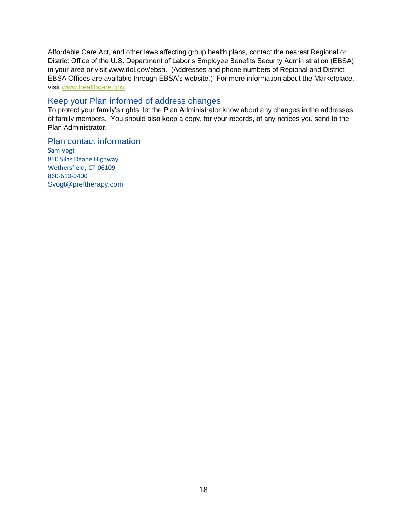Affordable Care Act, and other laws affecting group health plans, contact the nearest Regional or District Office of the U.S. Department of Labor's Employee Benefits Security Administration (EBSA) in your area or visit www.dol.gov/ebsa. (Addresses and phone numbers of Regional and District EBSA Offices are available through EBSA's website.) For more information about the Marketplace, visit [www.healthcare.gov.](http://www.healthcare.gov/)

#### Keep your Plan informed of address changes

To protect your family's rights, let the Plan Administrator know about any changes in the addresses of family members.You should also keep a copy, for your records, of any notices you send to the Plan Administrator.

#### Plan contact information

Sam Vogt 850 Silas Deane Highway Wethersfield, CT 06109 860-610-0400 Svogt@preftherapy.com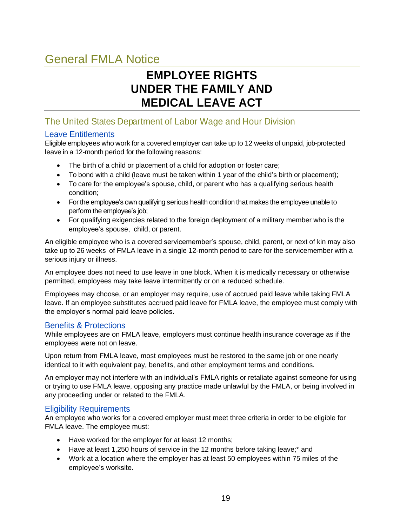# General FMLA Notice

# **EMPLOYEE RIGHTS UNDER THE FAMILY AND MEDICAL LEAVE ACT**

## The United States Department of Labor Wage and Hour Division

#### Leave Entitlements

Eligible employees who work for a covered employer can take up to 12 weeks of unpaid, job-protected leave in a 12-month period for the following reasons:

- The birth of a child or placement of a child for adoption or foster care;
- To bond with a child (leave must be taken within 1 year of the child's birth or placement);
- To care for the employee's spouse, child, or parent who has a qualifying serious health condition;
- For the employee's own qualifying serious health condition that makes the employee unable to perform the employee's job;
- For qualifying exigencies related to the foreign deployment of a military member who is the employee's spouse, child, or parent.

An eligible employee who is a covered servicemember's spouse, child, parent, or next of kin may also take up to 26 weeks of FMLA leave in a single 12-month period to care for the servicemember with a serious injury or illness.

An employee does not need to use leave in one block. When it is medically necessary or otherwise permitted, employees may take leave intermittently or on a reduced schedule.

Employees may choose, or an employer may require, use of accrued paid leave while taking FMLA leave. If an employee substitutes accrued paid leave for FMLA leave, the employee must comply with the employer's normal paid leave policies.

#### Benefits & Protections

While employees are on FMLA leave, employers must continue health insurance coverage as if the employees were not on leave.

Upon return from FMLA leave, most employees must be restored to the same job or one nearly identical to it with equivalent pay, benefits, and other employment terms and conditions.

An employer may not interfere with an individual's FMLA rights or retaliate against someone for using or trying to use FMLA leave, opposing any practice made unlawful by the FMLA, or being involved in any proceeding under or related to the FMLA.

#### Eligibility Requirements

An employee who works for a covered employer must meet three criteria in order to be eligible for FMLA leave. The employee must:

- Have worked for the employer for at least 12 months;
- Have at least 1,250 hours of service in the 12 months before taking leave;\* and
- Work at a location where the employer has at least 50 employees within 75 miles of the employee's worksite.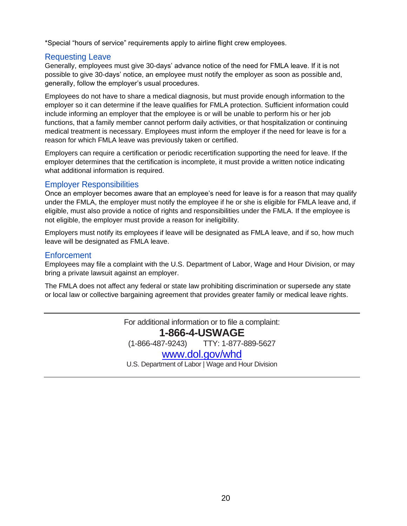\*Special "hours of service" requirements apply to airline flight crew employees.

#### Requesting Leave

Generally, employees must give 30-days' advance notice of the need for FMLA leave. If it is not possible to give 30-days' notice, an employee must notify the employer as soon as possible and, generally, follow the employer's usual procedures.

Employees do not have to share a medical diagnosis, but must provide enough information to the employer so it can determine if the leave qualifies for FMLA protection. Sufficient information could include informing an employer that the employee is or will be unable to perform his or her job functions, that a family member cannot perform daily activities, or that hospitalization or continuing medical treatment is necessary. Employees must inform the employer if the need for leave is for a reason for which FMLA leave was previously taken or certified.

Employers can require a certification or periodic recertification supporting the need for leave. If the employer determines that the certification is incomplete, it must provide a written notice indicating what additional information is required.

#### Employer Responsibilities

Once an employer becomes aware that an employee's need for leave is for a reason that may qualify under the FMLA, the employer must notify the employee if he or she is eligible for FMLA leave and, if eligible, must also provide a notice of rights and responsibilities under the FMLA. If the employee is not eligible, the employer must provide a reason for ineligibility.

Employers must notify its employees if leave will be designated as FMLA leave, and if so, how much leave will be designated as FMLA leave.

#### **Enforcement**

Employees may file a complaint with the U.S. Department of Labor, Wage and Hour Division, or may bring a private lawsuit against an employer.

The FMLA does not affect any federal or state law prohibiting discrimination or supersede any state or local law or collective bargaining agreement that provides greater family or medical leave rights.

> For additional information or to file a complaint: **1-866-4-USWAGE** (1-866-487-9243) TTY: 1-877-889-5627 [www.dol.gov/whd](http://www.dol.gov/whd) U.S. Department of Labor | Wage and Hour Division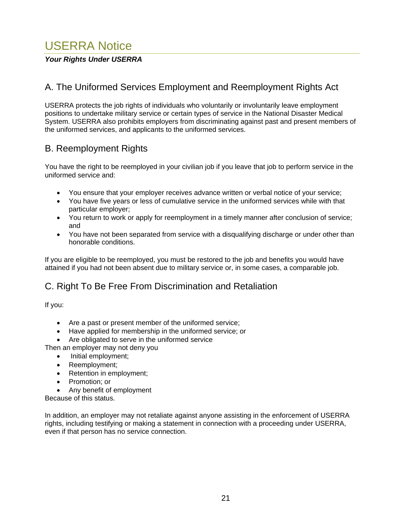## USERRA Notice

#### *Your Rights Under USERRA*

## A. The Uniformed Services Employment and Reemployment Rights Act

USERRA protects the job rights of individuals who voluntarily or involuntarily leave employment positions to undertake military service or certain types of service in the National Disaster Medical System. USERRA also prohibits employers from discriminating against past and present members of the uniformed services, and applicants to the uniformed services.

## B. Reemployment Rights

You have the right to be reemployed in your civilian job if you leave that job to perform service in the uniformed service and:

- You ensure that your employer receives advance written or verbal notice of your service;
- You have five years or less of cumulative service in the uniformed services while with that particular employer;
- You return to work or apply for reemployment in a timely manner after conclusion of service; and
- You have not been separated from service with a disqualifying discharge or under other than honorable conditions.

If you are eligible to be reemployed, you must be restored to the job and benefits you would have attained if you had not been absent due to military service or, in some cases, a comparable job.

## C. Right To Be Free From Discrimination and Retaliation

If you:

- Are a past or present member of the uniformed service;
- Have applied for membership in the uniformed service; or
- Are obligated to serve in the uniformed service
- Then an employer may not deny you
	- Initial employment;
	- Reemployment;
	- Retention in employment;
	- Promotion; or
	- Any benefit of employment

Because of this status.

In addition, an employer may not retaliate against anyone assisting in the enforcement of USERRA rights, including testifying or making a statement in connection with a proceeding under USERRA, even if that person has no service connection.